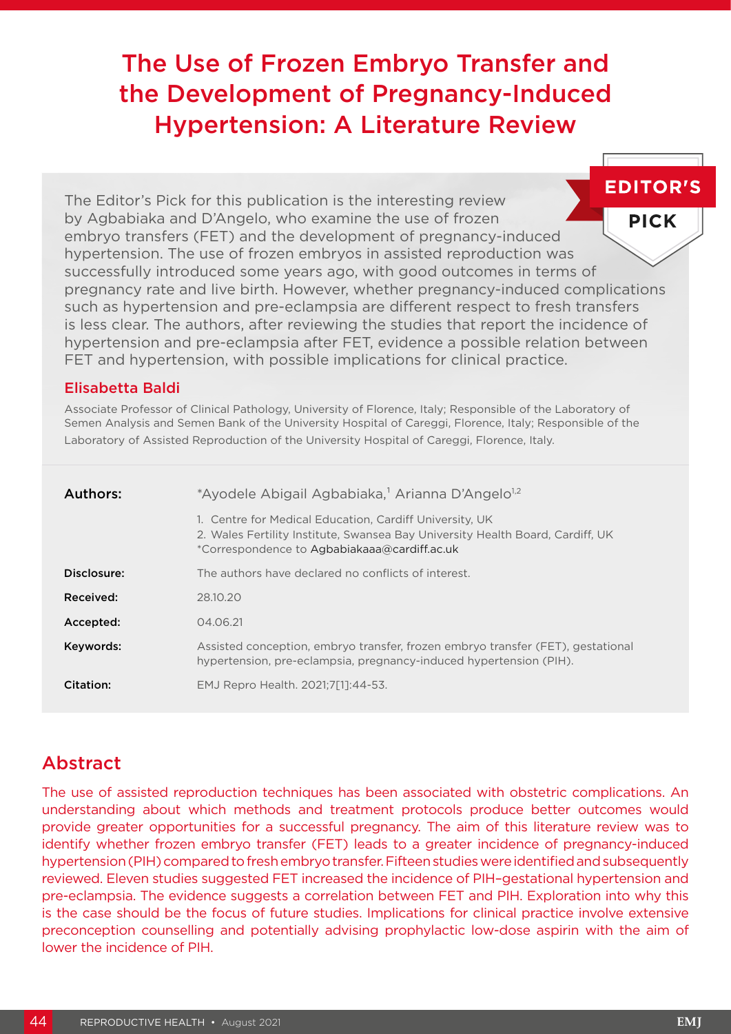# The Use of Frozen Embryo Transfer and the Development of Pregnancy-Induced Hypertension: A Literature Review

**EDITOR'S** The Editor's Pick for this publication is the interesting review by Agbabiaka and D'Angelo, who examine the use of frozen **PICK** embryo transfers (FET) and the development of pregnancy-induced hypertension. The use of frozen embryos in assisted reproduction was successfully introduced some years ago, with good outcomes in terms of pregnancy rate and live birth. However, whether pregnancy-induced complications such as hypertension and pre-eclampsia are different respect to fresh transfers is less clear. The authors, after reviewing the studies that report the incidence of hypertension and pre-eclampsia after FET, evidence a possible relation between FET and hypertension, with possible implications for clinical practice.

## Elisabetta Baldi

Associate Professor of Clinical Pathology, University of Florence, Italy; Responsible of the Laboratory of Semen Analysis and Semen Bank of the University Hospital of Careggi, Florence, Italy; Responsible of the Laboratory of Assisted Reproduction of the University Hospital of Careggi, Florence, Italy.

| Authors:    | *Ayodele Abigail Agbabiaka, <sup>1</sup> Arianna D'Angelo <sup>1,2</sup>                                                                                                                  |  |  |  |
|-------------|-------------------------------------------------------------------------------------------------------------------------------------------------------------------------------------------|--|--|--|
|             | 1. Centre for Medical Education, Cardiff University, UK<br>2. Wales Fertility Institute, Swansea Bay University Health Board, Cardiff, UK<br>*Correspondence to Agbabiakaaa@cardiff.ac.uk |  |  |  |
| Disclosure: | The authors have declared no conflicts of interest.                                                                                                                                       |  |  |  |
| Received:   | 28.10.20                                                                                                                                                                                  |  |  |  |
| Accepted:   | 04.06.21                                                                                                                                                                                  |  |  |  |
| Keywords:   | Assisted conception, embryo transfer, frozen embryo transfer (FET), gestational<br>hypertension, pre-eclampsia, pregnancy-induced hypertension (PIH).                                     |  |  |  |
| Citation:   | EMJ Repro Health. 2021;7[1]:44-53.                                                                                                                                                        |  |  |  |

## Abstract

The use of assisted reproduction techniques has been associated with obstetric complications. An understanding about which methods and treatment protocols produce better outcomes would provide greater opportunities for a successful pregnancy. The aim of this literature review was to identify whether frozen embryo transfer (FET) leads to a greater incidence of pregnancy-induced hypertension (PIH) compared to fresh embryo transfer. Fifteen studies were identified and subsequently reviewed. Eleven studies suggested FET increased the incidence of PIH–gestational hypertension and pre-eclampsia. The evidence suggests a correlation between FET and PIH. Exploration into why this is the case should be the focus of future studies. Implications for clinical practice involve extensive preconception counselling and potentially advising prophylactic low-dose aspirin with the aim of lower the incidence of PIH.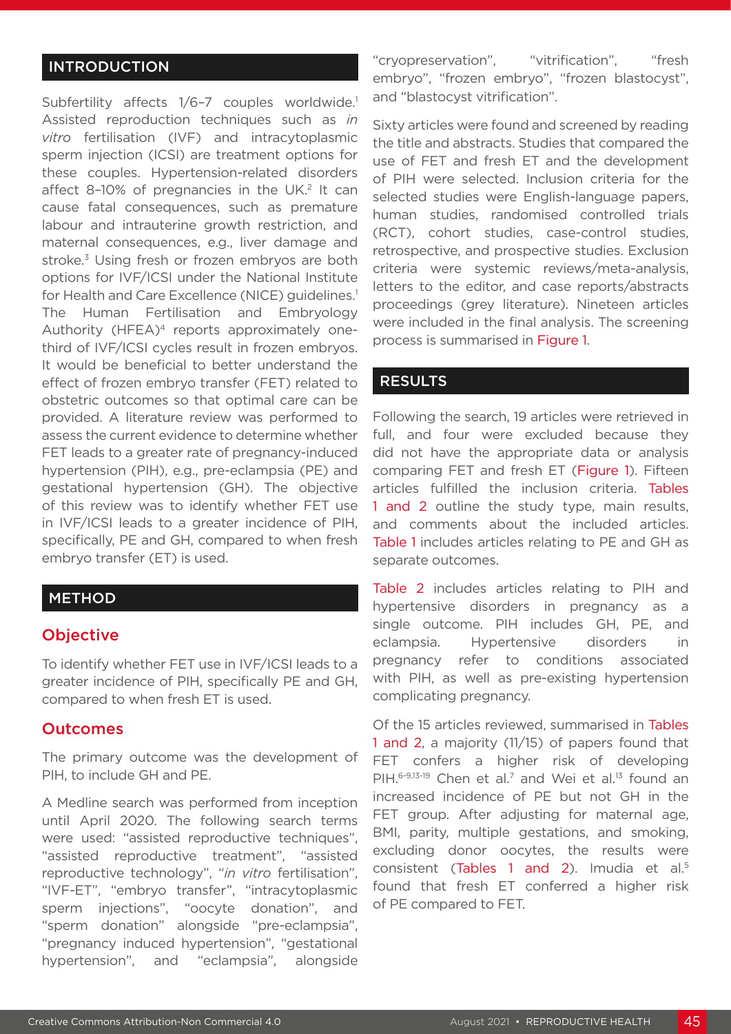## INTRODUCTION

Subfertility affects 1/6-7 couples worldwide.<sup>1</sup> Assisted reproduction techniques such as *in vitro* fertilisation (IVF) and intracytoplasmic sperm injection (ICSI) are treatment options for these couples. Hypertension-related disorders affect 8-10% of pregnancies in the UK.<sup>2</sup> It can cause fatal consequences, such as premature labour and intrauterine growth restriction, and maternal consequences, e.g., liver damage and stroke.<sup>3</sup> Using fresh or frozen embryos are both options for IVF/ICSI under the National Institute for Health and Care Excellence (NICE) guidelines.<sup>1</sup> The Human Fertilisation and Embryology Authority (HFEA)<sup>4</sup> reports approximately onethird of IVF/ICSI cycles result in frozen embryos. It would be beneficial to better understand the effect of frozen embryo transfer (FET) related to obstetric outcomes so that optimal care can be provided. A literature review was performed to assess the current evidence to determine whether FET leads to a greater rate of pregnancy-induced hypertension (PIH), e.g., pre-eclampsia (PE) and gestational hypertension (GH). The objective of this review was to identify whether FET use in IVF/ICSI leads to a greater incidence of PIH, specifically, PE and GH, compared to when fresh embryo transfer (ET) is used.

## METHOD

## **Objective**

To identify whether FET use in IVF/ICSI leads to a greater incidence of PIH, specifically PE and GH, compared to when fresh ET is used.

## Outcomes

The primary outcome was the development of PIH, to include GH and PE.

A Medline search was performed from inception until April 2020. The following search terms were used: "assisted reproductive techniques", "assisted reproductive treatment", "assisted reproductive technology", "*in vitro* fertilisation", "IVF-ET", "embryo transfer", "intracytoplasmic sperm injections", "oocyte donation", and "sperm donation" alongside "pre-eclampsia", "pregnancy induced hypertension", "gestational hypertension", and "eclampsia", alongside

"cryopreservation", "vitrification", "fresh embryo", "frozen embryo", "frozen blastocyst", and "blastocyst vitrification".

Sixty articles were found and screened by reading the title and abstracts. Studies that compared the use of FET and fresh ET and the development of PIH were selected. Inclusion criteria for the selected studies were English-language papers, human studies, randomised controlled trials (RCT), cohort studies, case-control studies, retrospective, and prospective studies. Exclusion criteria were systemic reviews/meta-analysis, letters to the editor, and case reports/abstracts proceedings (grey literature). Nineteen articles were included in the final analysis. The screening process is summarised in Figure 1.

#### RESULTS

Following the search, 19 articles were retrieved in full, and four were excluded because they did not have the appropriate data or analysis comparing FET and fresh ET (Figure 1). Fifteen articles fulfilled the inclusion criteria. Tables 1 and 2 outline the study type, main results, and comments about the included articles. Table 1 includes articles relating to PE and GH as separate outcomes.

Table 2 includes articles relating to PIH and hypertensive disorders in pregnancy as a single outcome. PIH includes GH, PE, and eclampsia. Hypertensive disorders in pregnancy refer to conditions associated with PIH, as well as pre-existing hypertension complicating pregnancy.

Of the 15 articles reviewed, summarised in Tables 1 and 2, a majority (11/15) of papers found that FET confers a higher risk of developing PIH.<sup>6-9,13-19</sup> Chen et al.<sup>7</sup> and Wei et al.<sup>13</sup> found an increased incidence of PE but not GH in the FET group. After adjusting for maternal age, BMI, parity, multiple gestations, and smoking, excluding donor oocytes, the results were consistent (Tables 1 and 2). Imudia et al.<sup>5</sup> found that fresh ET conferred a higher risk of PE compared to FET.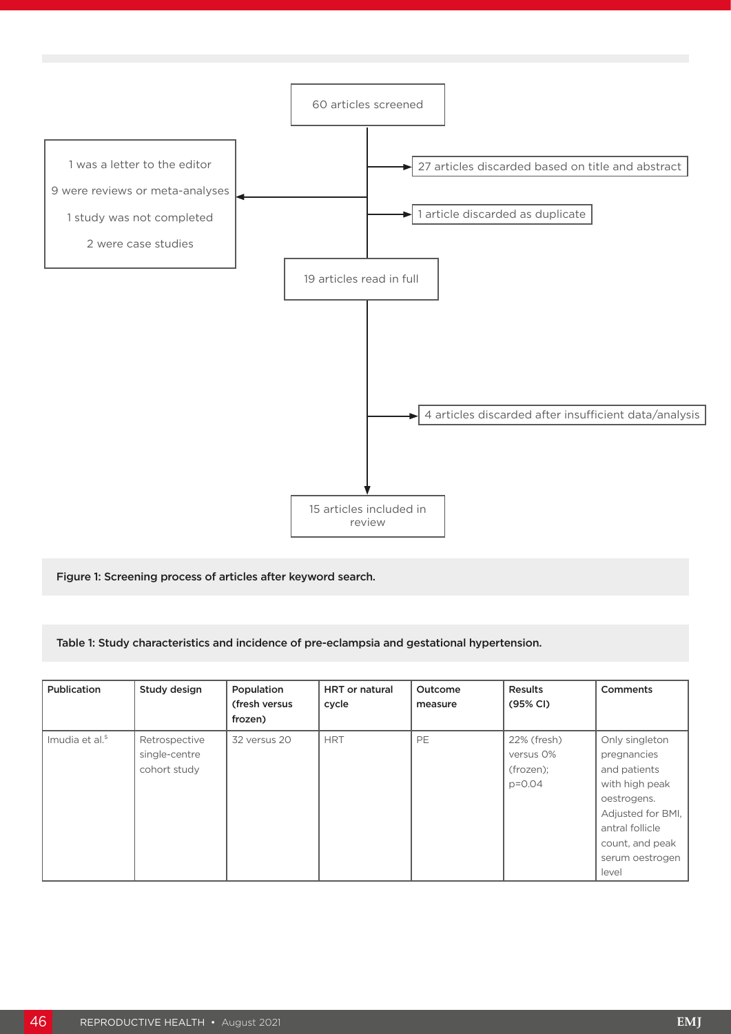

Figure 1: Screening process of articles after keyword search.

Table 1: Study characteristics and incidence of pre-eclampsia and gestational hypertension.

| Publication                | Study design                                   | Population<br>(fresh versus<br>frozen) | <b>HRT</b> or natural<br>cycle | Outcome<br>measure | <b>Results</b><br>(95% CI)                          | <b>Comments</b>                                                                                                                                                       |
|----------------------------|------------------------------------------------|----------------------------------------|--------------------------------|--------------------|-----------------------------------------------------|-----------------------------------------------------------------------------------------------------------------------------------------------------------------------|
| Imudia et al. <sup>5</sup> | Retrospective<br>single-centre<br>cohort study | 32 versus 20                           | <b>HRT</b>                     | PE                 | 22% (fresh)<br>versus 0%<br>(frozen);<br>$p = 0.04$ | Only singleton<br>pregnancies<br>and patients<br>with high peak<br>oestrogens.<br>Adjusted for BMI,<br>antral follicle<br>count, and peak<br>serum oestrogen<br>level |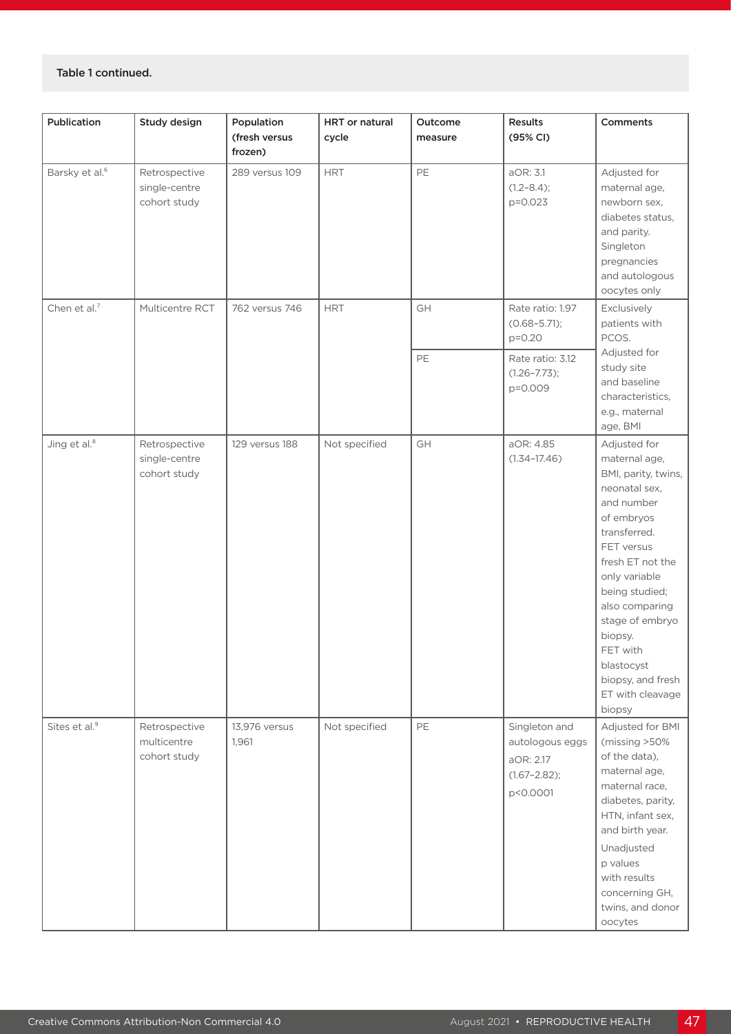#### Table 1 continued.

| Publication                | Study design                                   | Population<br>(fresh versus<br>frozen) | <b>HRT</b> or natural<br>cycle | Outcome<br>measure | Results<br>(95% CI)                                                           | Comments                                                                                                                                                                                                                                                                                                            |
|----------------------------|------------------------------------------------|----------------------------------------|--------------------------------|--------------------|-------------------------------------------------------------------------------|---------------------------------------------------------------------------------------------------------------------------------------------------------------------------------------------------------------------------------------------------------------------------------------------------------------------|
| Barsky et al. <sup>6</sup> | Retrospective<br>single-centre<br>cohort study | 289 versus 109                         | <b>HRT</b>                     | PE                 | aOR: 3.1<br>$(1.2 - 8.4);$<br>p=0.023                                         | Adjusted for<br>maternal age,<br>newborn sex,<br>diabetes status,<br>and parity.<br>Singleton<br>pregnancies<br>and autologous<br>oocytes only                                                                                                                                                                      |
| Chen et al. <sup>7</sup>   | Multicentre RCT                                | 762 versus 746                         | <b>HRT</b>                     | GH                 | Rate ratio: 1.97<br>$(0.68 - 5.71);$<br>$p = 0.20$                            | Exclusively<br>patients with<br>PCOS.                                                                                                                                                                                                                                                                               |
|                            |                                                |                                        |                                | PE                 | Rate ratio: 3.12<br>$(1.26 - 7.73);$<br>p=0.009                               | Adjusted for<br>study site<br>and baseline<br>characteristics,<br>e.g., maternal<br>age, BMI                                                                                                                                                                                                                        |
| Jing et al. <sup>8</sup>   | Retrospective<br>single-centre<br>cohort study | 129 versus 188                         | Not specified                  | GH                 | aOR: 4.85<br>$(1.34 - 17.46)$                                                 | Adjusted for<br>maternal age,<br>BMI, parity, twins,<br>neonatal sex,<br>and number<br>of embryos<br>transferred.<br>FET versus<br>fresh ET not the<br>only variable<br>being studied;<br>also comparing<br>stage of embryo<br>biopsy.<br>FET with<br>blastocyst<br>biopsy, and fresh<br>ET with cleavage<br>biopsy |
| Sites et al. <sup>9</sup>  | Retrospective<br>multicentre<br>cohort study   | 13,976 versus<br>1,961                 | Not specified                  | PE                 | Singleton and<br>autologous eggs<br>aOR: 2.17<br>$(1.67 - 2.82);$<br>p<0.0001 | Adjusted for BMI<br>(missing >50%<br>of the data),<br>maternal age,<br>maternal race,<br>diabetes, parity,<br>HTN, infant sex,<br>and birth year.<br>Unadjusted<br>p values<br>with results<br>concerning GH,<br>twins, and donor<br>oocytes                                                                        |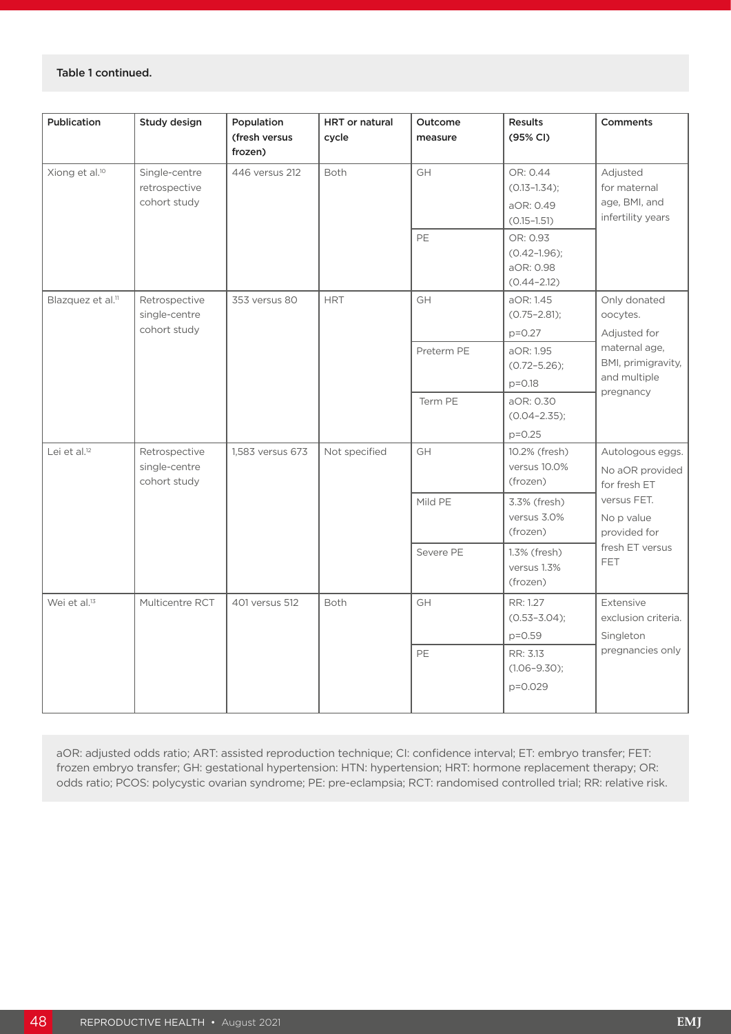#### Table 1 continued.

| Publication                   | Study design                                   | Population<br>(fresh versus<br>frozen) | HRT or natural<br>cycle | Outcome<br>measure | Results<br>(95% CI)                                           | <b>Comments</b>                                                            |
|-------------------------------|------------------------------------------------|----------------------------------------|-------------------------|--------------------|---------------------------------------------------------------|----------------------------------------------------------------------------|
| Xiong et al. <sup>10</sup>    | Single-centre<br>retrospective<br>cohort study | 446 versus 212                         | <b>Both</b>             | GH                 | OR: 0.44<br>$(0.13 - 1.34)$ ;<br>aOR: 0.49<br>$(0.15 - 1.51)$ | Adjusted<br>for maternal<br>age, BMI, and<br>infertility years             |
|                               |                                                |                                        |                         | PE                 | OR: 0.93<br>$(0.42 - 1.96);$<br>aOR: 0.98<br>$(0.44 - 2.12)$  |                                                                            |
| Blazquez et al. <sup>11</sup> | Retrospective<br>single-centre<br>cohort study | 353 versus 80                          | <b>HRT</b>              | GH                 | aOR: 1.45<br>$(0.75 - 2.81);$<br>$p=0.27$                     | Only donated<br>oocytes.<br>Adjusted for                                   |
|                               |                                                |                                        |                         | Preterm PE         | aOR: 1.95<br>$(0.72 - 5.26);$<br>$p = 0.18$                   | maternal age,<br>BMI, primigravity,<br>and multiple<br>pregnancy           |
|                               |                                                |                                        |                         | Term PE            | aOR: 0.30<br>$(0.04 - 2.35);$<br>$p = 0.25$                   |                                                                            |
| Lei et al. $12$               | Retrospective<br>single-centre<br>cohort study | 1,583 versus 673                       | Not specified           | GH                 | 10.2% (fresh)<br>versus 10.0%<br>(frozen)                     | Autologous eggs.<br>No aOR provided<br>for fresh ET                        |
|                               |                                                |                                        |                         | Mild PE            | 3.3% (fresh)<br>versus 3.0%<br>(frozen)                       | versus FET.<br>No p value<br>provided for<br>fresh ET versus<br><b>FET</b> |
|                               |                                                |                                        |                         | Severe PE          | 1.3% (fresh)<br>versus 1.3%<br>(frozen)                       |                                                                            |
| Wei et al. <sup>13</sup>      | Multicentre RCT                                | 401 versus 512                         | <b>Both</b>             | GH                 | RR: 1.27<br>$(0.53 - 3.04);$<br>p=0.59                        | Extensive<br>exclusion criteria.<br>Singleton<br>pregnancies only          |
|                               |                                                |                                        |                         | PE                 | RR: 3.13<br>$(1.06 - 9.30);$<br>p=0.029                       |                                                                            |

aOR: adjusted odds ratio; ART: assisted reproduction technique; CI: confidence interval; ET: embryo transfer; FET: frozen embryo transfer; GH: gestational hypertension: HTN: hypertension; HRT: hormone replacement therapy; OR: odds ratio; PCOS: polycystic ovarian syndrome; PE: pre-eclampsia; RCT: randomised controlled trial; RR: relative risk.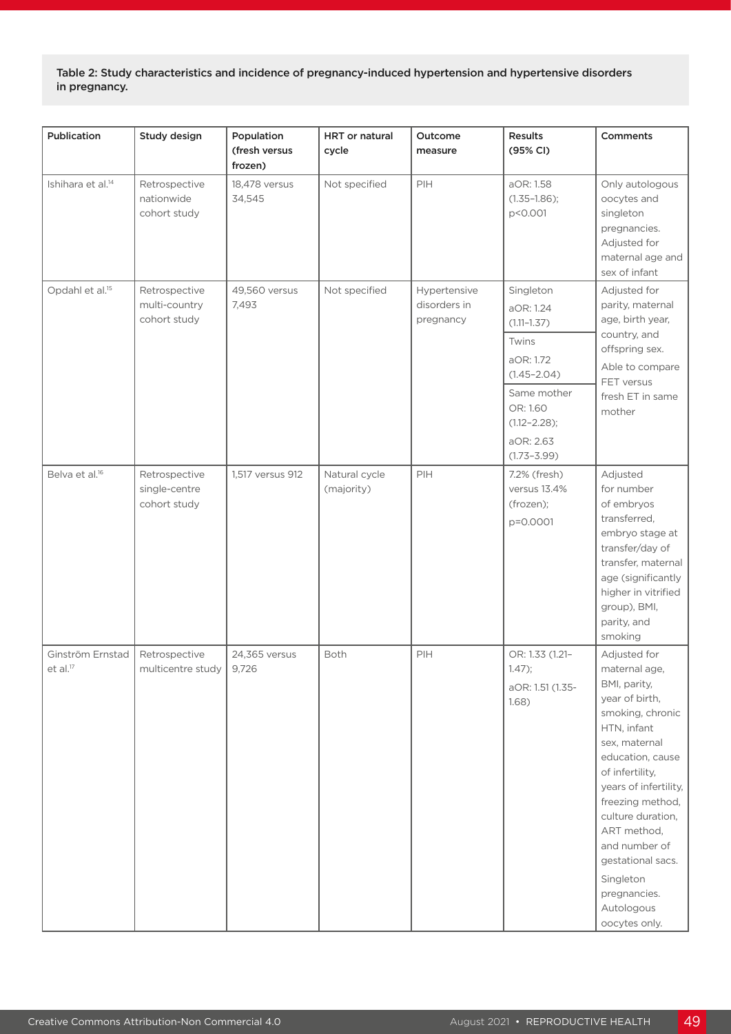Table 2: Study characteristics and incidence of pregnancy-induced hypertension and hypertensive disorders in pregnancy.

| Publication                              | Study design                                   | Population<br>(fresh versus | <b>HRT</b> or natural<br>cycle | Outcome<br>measure                        | Results<br>(95% CI)                                             | <b>Comments</b>                                                                                                                                                                                                                                                                                                                               |
|------------------------------------------|------------------------------------------------|-----------------------------|--------------------------------|-------------------------------------------|-----------------------------------------------------------------|-----------------------------------------------------------------------------------------------------------------------------------------------------------------------------------------------------------------------------------------------------------------------------------------------------------------------------------------------|
|                                          |                                                | frozen)                     |                                |                                           |                                                                 |                                                                                                                                                                                                                                                                                                                                               |
| Ishihara et al. <sup>14</sup>            | Retrospective<br>nationwide<br>cohort study    | 18,478 versus<br>34,545     | Not specified                  | PIH                                       | aOR: 1.58<br>$(1.35 - 1.86);$<br>p<0.001                        | Only autologous<br>oocytes and<br>singleton<br>pregnancies.<br>Adjusted for<br>maternal age and<br>sex of infant                                                                                                                                                                                                                              |
| Opdahl et al. <sup>15</sup>              | Retrospective<br>multi-country<br>cohort study | 49,560 versus<br>7,493      | Not specified                  | Hypertensive<br>disorders in<br>pregnancy | Singleton<br>aOR: 1.24<br>$(1.11 - 1.37)$<br>Twins<br>aOR: 1.72 | Adjusted for<br>parity, maternal<br>age, birth year,<br>country, and<br>offspring sex.                                                                                                                                                                                                                                                        |
|                                          |                                                |                             |                                |                                           | $(1.45 - 2.04)$<br>Same mother                                  | Able to compare<br>FET versus<br>fresh ET in same                                                                                                                                                                                                                                                                                             |
|                                          |                                                |                             |                                |                                           | OR: 1.60<br>$(1.12 - 2.28);$                                    | mother                                                                                                                                                                                                                                                                                                                                        |
|                                          |                                                |                             |                                |                                           | aOR: 2.63<br>$(1.73 - 3.99)$                                    |                                                                                                                                                                                                                                                                                                                                               |
| Belva et al. <sup>16</sup>               | Retrospective<br>single-centre<br>cohort study | 1,517 versus 912            | Natural cycle<br>(majority)    | PIH                                       | 7.2% (fresh)<br>versus 13.4%<br>(frozen);<br>p=0.0001           | Adjusted<br>for number<br>of embryos<br>transferred,<br>embryo stage at<br>transfer/day of<br>transfer, maternal<br>age (significantly<br>higher in vitrified<br>group), BMI,<br>parity, and<br>smoking                                                                                                                                       |
| Ginström Ernstad<br>et al. <sup>17</sup> | Retrospective<br>multicentre study             | 24,365 versus<br>9,726      | Both                           | PIH                                       | OR: 1.33 (1.21-<br>$1.47$ ;<br>aOR: 1.51 (1.35-<br>1.68)        | Adjusted for<br>maternal age,<br>BMI, parity,<br>year of birth,<br>smoking, chronic<br>HTN, infant<br>sex, maternal<br>education, cause<br>of infertility,<br>years of infertility,<br>freezing method,<br>culture duration,<br>ART method,<br>and number of<br>gestational sacs.<br>Singleton<br>pregnancies.<br>Autologous<br>oocytes only. |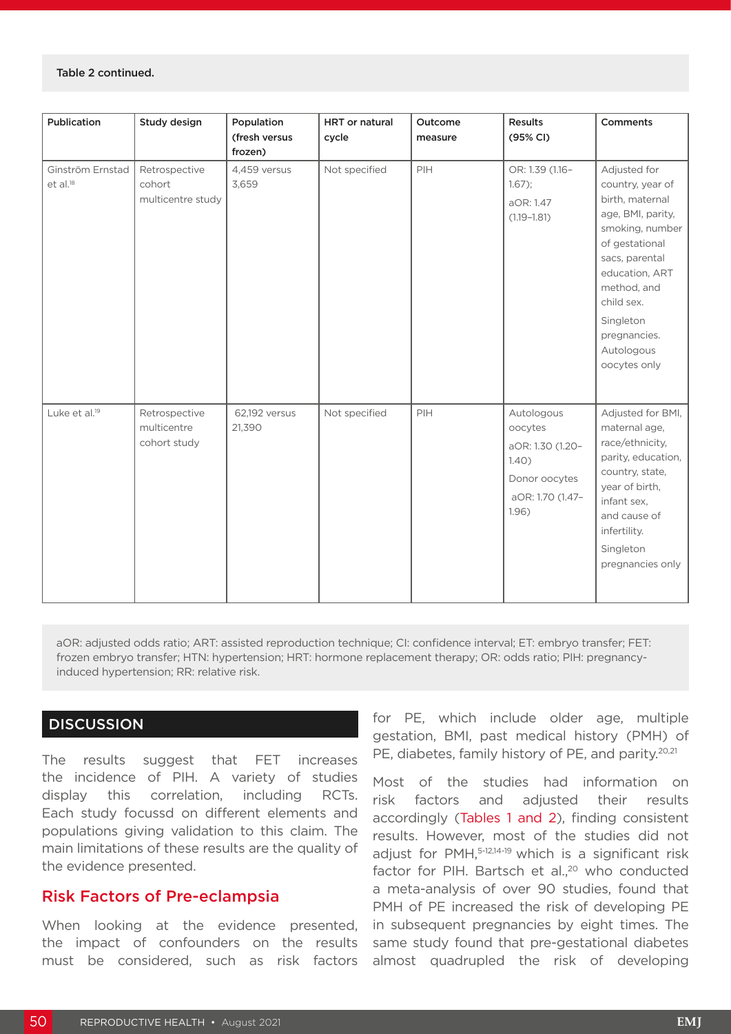#### Table 2 continued.

| Publication                              | Study design                                 | Population<br>(fresh versus<br>frozen) | HRT or natural<br>cycle | Outcome<br>measure | Results<br>(95% CI)                                                                              | <b>Comments</b>                                                                                                                                                                                                                           |
|------------------------------------------|----------------------------------------------|----------------------------------------|-------------------------|--------------------|--------------------------------------------------------------------------------------------------|-------------------------------------------------------------------------------------------------------------------------------------------------------------------------------------------------------------------------------------------|
| Ginström Ernstad<br>et al. <sup>18</sup> | Retrospective<br>cohort<br>multicentre study | 4,459 versus<br>3,659                  | Not specified           | PIH                | OR: 1.39 (1.16-<br>$1.67$ ;<br>aOR: 1.47<br>$(1.19 - 1.81)$                                      | Adjusted for<br>country, year of<br>birth, maternal<br>age, BMI, parity,<br>smoking, number<br>of gestational<br>sacs, parental<br>education, ART<br>method, and<br>child sex.<br>Singleton<br>pregnancies.<br>Autologous<br>oocytes only |
| Luke et al. <sup>19</sup>                | Retrospective<br>multicentre<br>cohort study | 62,192 versus<br>21,390                | Not specified           | PIH                | Autologous<br>oocytes<br>aOR: 1.30 (1.20-<br>1.40)<br>Donor oocytes<br>aOR: 1.70 (1.47-<br>1.96) | Adjusted for BMI,<br>maternal age,<br>race/ethnicity,<br>parity, education,<br>country, state,<br>year of birth,<br>infant sex,<br>and cause of<br>infertility.<br>Singleton<br>pregnancies only                                          |

aOR: adjusted odds ratio; ART: assisted reproduction technique; CI: confidence interval; ET: embryo transfer; FET: frozen embryo transfer; HTN: hypertension; HRT: hormone replacement therapy; OR: odds ratio; PIH: pregnancyinduced hypertension; RR: relative risk.

## **DISCUSSION**

The results suggest that FET increases the incidence of PIH. A variety of studies display this correlation, including RCTs. Each study focussd on different elements and populations giving validation to this claim. The main limitations of these results are the quality of the evidence presented.

## Risk Factors of Pre-eclampsia

When looking at the evidence presented, the impact of confounders on the results must be considered, such as risk factors

for PE, which include older age, multiple gestation, BMI, past medical history (PMH) of PE, diabetes, family history of PE, and parity.<sup>20,21</sup>

Most of the studies had information on risk factors and adjusted their results accordingly (Tables 1 and 2), finding consistent results. However, most of the studies did not adjust for PMH,<sup>5-12,14-19</sup> which is a significant risk factor for PIH. Bartsch et al., $20$  who conducted a meta-analysis of over 90 studies, found that PMH of PE increased the risk of developing PE in subsequent pregnancies by eight times. The same study found that pre-gestational diabetes almost quadrupled the risk of developing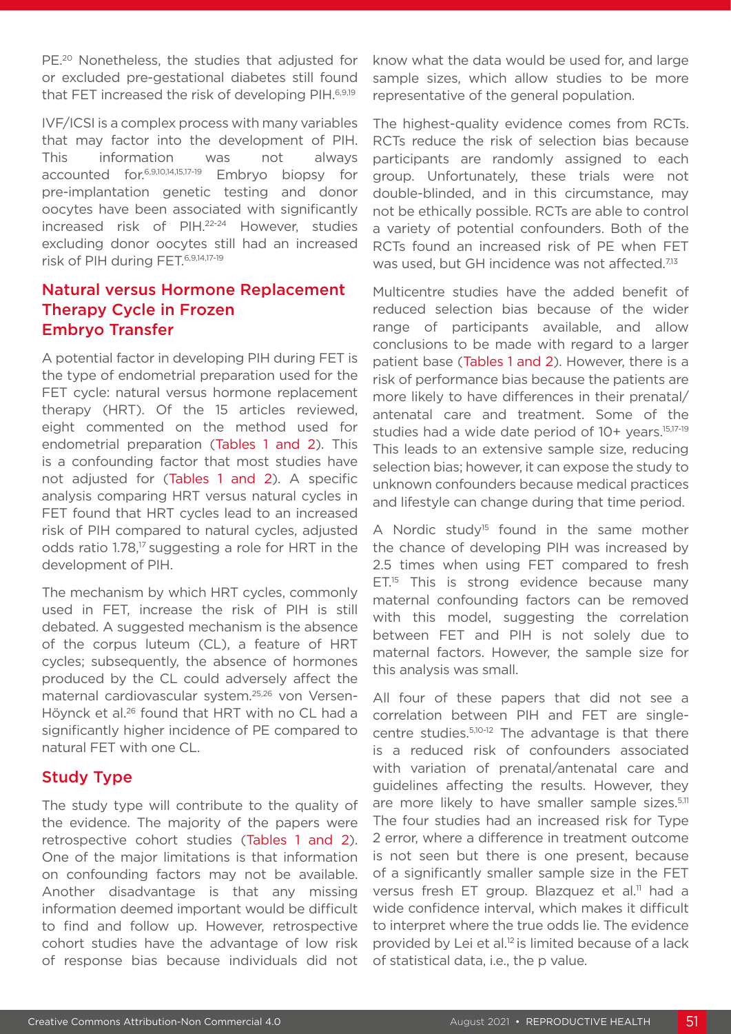PE.<sup>20</sup> Nonetheless, the studies that adjusted for or excluded pre-gestational diabetes still found that FET increased the risk of developing PIH.<sup>6,9,19</sup>

IVF/ICSI is a complex process with many variables that may factor into the development of PIH. This information was not always accounted for.6,9,10,14,15,17-19 Embryo biopsy for pre-implantation genetic testing and donor oocytes have been associated with significantly increased risk of PIH.22-24 However, studies excluding donor oocytes still had an increased risk of PIH during FET.6,9,14,17-19

## Natural versus Hormone Replacement Therapy Cycle in Frozen Embryo Transfer

A potential factor in developing PIH during FET is the type of endometrial preparation used for the FET cycle: natural versus hormone replacement therapy (HRT). Of the 15 articles reviewed, eight commented on the method used for endometrial preparation (Tables 1 and 2). This is a confounding factor that most studies have not adjusted for (Tables 1 and 2). A specific analysis comparing HRT versus natural cycles in FET found that HRT cycles lead to an increased risk of PIH compared to natural cycles, adjusted odds ratio 1.78,<sup>17</sup> suggesting a role for HRT in the development of PIH.

The mechanism by which HRT cycles, commonly used in FET, increase the risk of PIH is still debated. A suggested mechanism is the absence of the corpus luteum (CL), a feature of HRT cycles; subsequently, the absence of hormones produced by the CL could adversely affect the maternal cardiovascular system.25,26 von Versen-Höynck et al.26 found that HRT with no CL had a significantly higher incidence of PE compared to natural FET with one CL.

## Study Type

The study type will contribute to the quality of the evidence. The majority of the papers were retrospective cohort studies (Tables 1 and 2). One of the major limitations is that information on confounding factors may not be available. Another disadvantage is that any missing information deemed important would be difficult to find and follow up. However, retrospective cohort studies have the advantage of low risk of response bias because individuals did not

know what the data would be used for, and large sample sizes, which allow studies to be more representative of the general population.

The highest-quality evidence comes from RCTs. RCTs reduce the risk of selection bias because participants are randomly assigned to each group. Unfortunately, these trials were not double-blinded, and in this circumstance, may not be ethically possible. RCTs are able to control a variety of potential confounders. Both of the RCTs found an increased risk of PE when FET was used, but GH incidence was not affected.<sup>7,13</sup>

Multicentre studies have the added benefit of reduced selection bias because of the wider range of participants available, and allow conclusions to be made with regard to a larger patient base (Tables 1 and 2). However, there is a risk of performance bias because the patients are more likely to have differences in their prenatal/ antenatal care and treatment. Some of the studies had a wide date period of 10+ years.15,17-19 This leads to an extensive sample size, reducing selection bias; however, it can expose the study to unknown confounders because medical practices and lifestyle can change during that time period.

A Nordic study<sup>15</sup> found in the same mother the chance of developing PIH was increased by 2.5 times when using FET compared to fresh  $ET<sup>15</sup>$  This is strong evidence because many maternal confounding factors can be removed with this model, suggesting the correlation between FET and PIH is not solely due to maternal factors. However, the sample size for this analysis was small.

All four of these papers that did not see a correlation between PIH and FET are singlecentre studies.5,10-12 The advantage is that there is a reduced risk of confounders associated with variation of prenatal/antenatal care and guidelines affecting the results. However, they are more likely to have smaller sample sizes.<sup>5,11</sup> The four studies had an increased risk for Type 2 error, where a difference in treatment outcome is not seen but there is one present, because of a significantly smaller sample size in the FET versus fresh ET group. Blazquez et al.<sup>11</sup> had a wide confidence interval, which makes it difficult to interpret where the true odds lie. The evidence provided by Lei et al. $12$  is limited because of a lack of statistical data, i.e., the p value.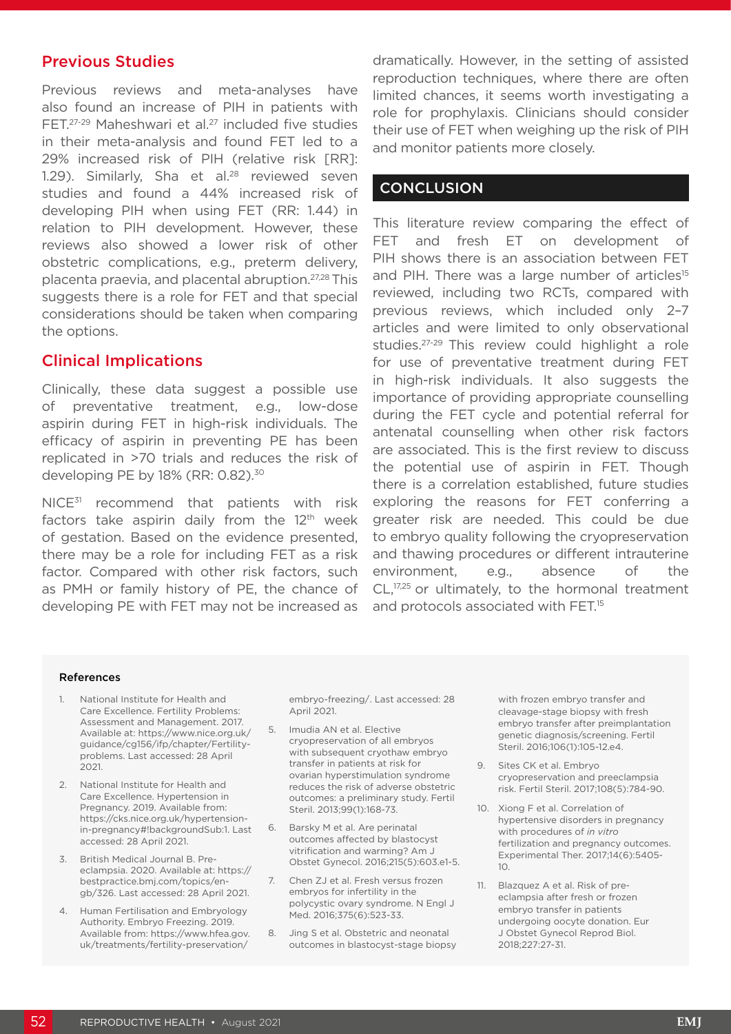## Previous Studies

Previous reviews and meta-analyses have also found an increase of PIH in patients with FET.<sup>27-29</sup> Maheshwari et al.<sup>27</sup> included five studies in their meta-analysis and found FET led to a 29% increased risk of PIH (relative risk [RR]: 1.29). Similarly, Sha et al. $28$  reviewed seven studies and found a 44% increased risk of developing PIH when using FET (RR: 1.44) in relation to PIH development. However, these reviews also showed a lower risk of other obstetric complications, e.g., preterm delivery, placenta praevia, and placental abruption.27,28 This suggests there is a role for FET and that special considerations should be taken when comparing the options.

## Clinical Implications

Clinically, these data suggest a possible use of preventative treatment, e.g., low-dose aspirin during FET in high-risk individuals. The efficacy of aspirin in preventing PE has been replicated in >70 trials and reduces the risk of developing PE by 18% (RR: 0.82).<sup>30</sup>

NICE<sup>31</sup> recommend that patients with risk factors take aspirin daily from the  $12<sup>th</sup>$  week of gestation. Based on the evidence presented, there may be a role for including FET as a risk factor. Compared with other risk factors, such as PMH or family history of PE, the chance of developing PE with FET may not be increased as

dramatically. However, in the setting of assisted reproduction techniques, where there are often limited chances, it seems worth investigating a role for prophylaxis. Clinicians should consider their use of FET when weighing up the risk of PIH and monitor patients more closely.

## **CONCLUSION**

This literature review comparing the effect of FET and fresh ET on development of PIH shows there is an association between FET and PIH. There was a large number of articles<sup>15</sup> reviewed, including two RCTs, compared with previous reviews, which included only 2–7 articles and were limited to only observational studies.<sup>27-29</sup> This review could highlight a role for use of preventative treatment during FET in high-risk individuals. It also suggests the importance of providing appropriate counselling during the FET cycle and potential referral for antenatal counselling when other risk factors are associated. This is the first review to discuss the potential use of aspirin in FET. Though there is a correlation established, future studies exploring the reasons for FET conferring a greater risk are needed. This could be due to embryo quality following the cryopreservation and thawing procedures or different intrauterine environment, e.g., absence of the CL,<sup>17,25</sup> or ultimately, to the hormonal treatment and protocols associated with FET.<sup>15</sup>

#### References

- 1. National Institute for Health and Care Excellence. Fertility Problems: Assessment and Management. 2017. Available at: https://www.nice.org.uk/ guidance/cg156/ifp/chapter/Fertilityproblems. Last accessed: 28 April 2021.
- 2. National Institute for Health and Care Excellence. Hypertension in Pregnancy. 2019. Available from: https://cks.nice.org.uk/hypertensionin-pregnancy#!backgroundSub:1. Last accessed: 28 April 2021.
- 3. British Medical Journal B. Preeclampsia. 2020. Available at: https:// bestpractice.bmj.com/topics/engb/326. Last accessed: 28 April 2021.
- 4. Human Fertilisation and Embryology Authority. Embryo Freezing. 2019. Available from: https://www.hfea.gov. uk/treatments/fertility-preservation/

embryo-freezing/. Last accessed: 28 April 2021

- 5. Imudia AN et al. Elective cryopreservation of all embryos with subsequent cryothaw embryo transfer in patients at risk for ovarian hyperstimulation syndrome reduces the risk of adverse obstetric outcomes: a preliminary study. Fertil Steril. 2013;99(1):168-73.
- 6. Barsky M et al. Are perinatal outcomes affected by blastocyst vitrification and warming? Am J Obstet Gynecol. 2016;215(5):603.e1-5.
- 7. Chen ZJ et al. Fresh versus frozen embryos for infertility in the polycystic ovary syndrome. N Engl J Med. 2016;375(6):523-33.
- 8. Jing S et al. Obstetric and neonatal outcomes in blastocyst-stage biopsy

with frozen embryo transfer and cleavage-stage biopsy with fresh embryo transfer after preimplantation genetic diagnosis/screening. Fertil Steril. 2016;106(1):105-12.e4.

- 9. Sites CK et al. Embryo cryopreservation and preeclampsia risk. Fertil Steril. 2017;108(5):784-90.
- 10. Xiong F et al. Correlation of hypertensive disorders in pregnancy with procedures of *in vitro*  fertilization and pregnancy outcomes. Experimental Ther. 2017;14(6):5405-  $1<sup>0</sup>$
- 11. Blazquez A et al. Risk of preeclampsia after fresh or frozen embryo transfer in patients undergoing oocyte donation. Eur J Obstet Gynecol Reprod Biol. 2018;227:27-31.